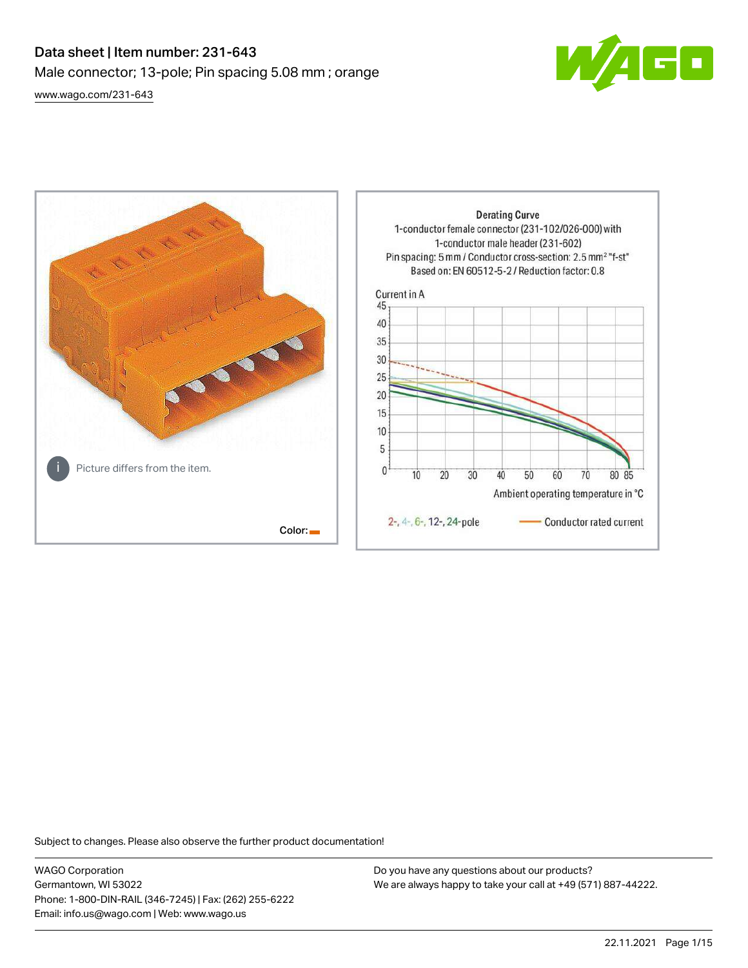# Data sheet | Item number: 231-643 Male connector; 13-pole; Pin spacing 5.08 mm ; orange [www.wago.com/231-643](http://www.wago.com/231-643)



**Derating Curve** 1-conductor female connector (231-102/026-000) with 1-conductor male header (231-602) Pin spacing: 5 mm / Conductor cross-section: 2.5 mm<sup>2</sup> "f-st" Based on: EN 60512-5-2 / Reduction factor: 0.8 Current in A 45 40 35 30 25  $20$ 15 10 5 Picture differs from the item.  $\mathbf{0}$  $\overline{10}$ 20 30 40 50 60 70 80 85 Ambient operating temperature in °C 2-, 4-, 6-, 12-, 24-pole Conductor rated current Color:

Subject to changes. Please also observe the further product documentation!

WAGO Corporation Germantown, WI 53022 Phone: 1-800-DIN-RAIL (346-7245) | Fax: (262) 255-6222 Email: info.us@wago.com | Web: www.wago.us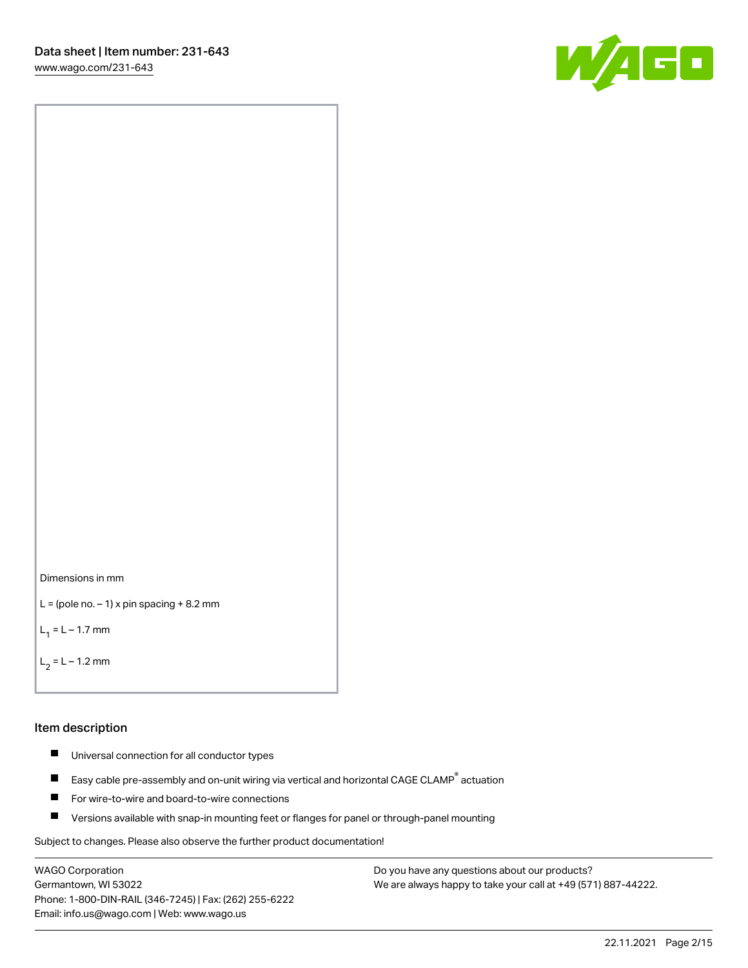[www.wago.com/231-643](http://www.wago.com/231-643)





```
L = (pole no. -1) x pin spacing +8.2 mm
```
 $L_1 = L - 1.7$  mm

```
L_2 = L - 1.2 mm
```
### Item description

- $\blacksquare$ Universal connection for all conductor types
- Easy cable pre-assembly and on-unit wiring via vertical and horizontal CAGE CLAMP<sup>®</sup> actuation  $\blacksquare$
- П For wire-to-wire and board-to-wire connections
- $\blacksquare$ Versions available with snap-in mounting feet or flanges for panel or through-panel mounting

Subject to changes. Please also observe the further product documentation!

WAGO Corporation Germantown, WI 53022 Phone: 1-800-DIN-RAIL (346-7245) | Fax: (262) 255-6222 Email: info.us@wago.com | Web: www.wago.us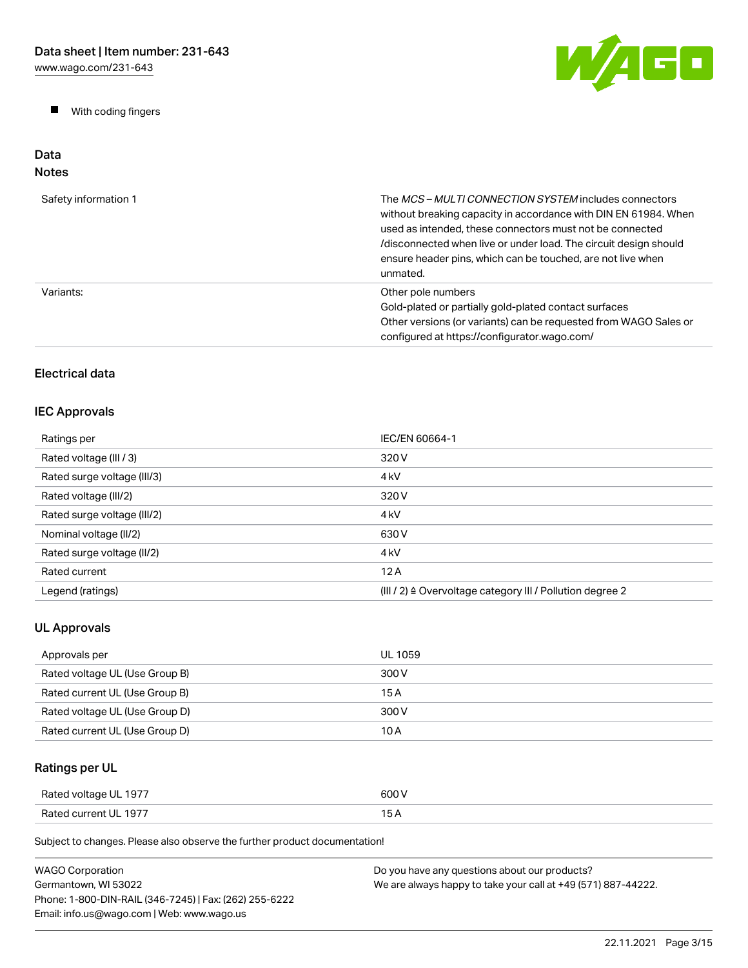$\blacksquare$ With coding fingers



### Data Notes

| Safety information 1 | The MCS-MULTI CONNECTION SYSTEM includes connectors<br>without breaking capacity in accordance with DIN EN 61984. When<br>used as intended, these connectors must not be connected<br>/disconnected when live or under load. The circuit design should<br>ensure header pins, which can be touched, are not live when<br>unmated. |
|----------------------|-----------------------------------------------------------------------------------------------------------------------------------------------------------------------------------------------------------------------------------------------------------------------------------------------------------------------------------|
| Variants:            | Other pole numbers<br>Gold-plated or partially gold-plated contact surfaces<br>Other versions (or variants) can be requested from WAGO Sales or<br>configured at https://configurator.wago.com/                                                                                                                                   |

# Electrical data

# IEC Approvals

| Ratings per                 | IEC/EN 60664-1                                                       |
|-----------------------------|----------------------------------------------------------------------|
| Rated voltage (III / 3)     | 320 V                                                                |
| Rated surge voltage (III/3) | 4 <sub>kV</sub>                                                      |
| Rated voltage (III/2)       | 320 V                                                                |
| Rated surge voltage (III/2) | 4 <sub>k</sub> V                                                     |
| Nominal voltage (II/2)      | 630 V                                                                |
| Rated surge voltage (II/2)  | 4 <sub>k</sub> V                                                     |
| Rated current               | 12A                                                                  |
| Legend (ratings)            | (III / 2) $\triangleq$ Overvoltage category III / Pollution degree 2 |

# UL Approvals

| Approvals per                  | UL 1059 |
|--------------------------------|---------|
| Rated voltage UL (Use Group B) | 300 V   |
| Rated current UL (Use Group B) | 15 A    |
| Rated voltage UL (Use Group D) | 300 V   |
| Rated current UL (Use Group D) | 10 A    |

# Ratings per UL

| Rated voltage UL 1977 | 600 V |
|-----------------------|-------|
| Rated current UL 1977 | 15 A  |

Subject to changes. Please also observe the further product documentation!

| <b>WAGO Corporation</b>                                | Do you have any questions about our products?                 |
|--------------------------------------------------------|---------------------------------------------------------------|
| Germantown. WI 53022                                   | We are always happy to take your call at +49 (571) 887-44222. |
| Phone: 1-800-DIN-RAIL (346-7245)   Fax: (262) 255-6222 |                                                               |
| Email: info.us@wago.com   Web: www.wago.us             |                                                               |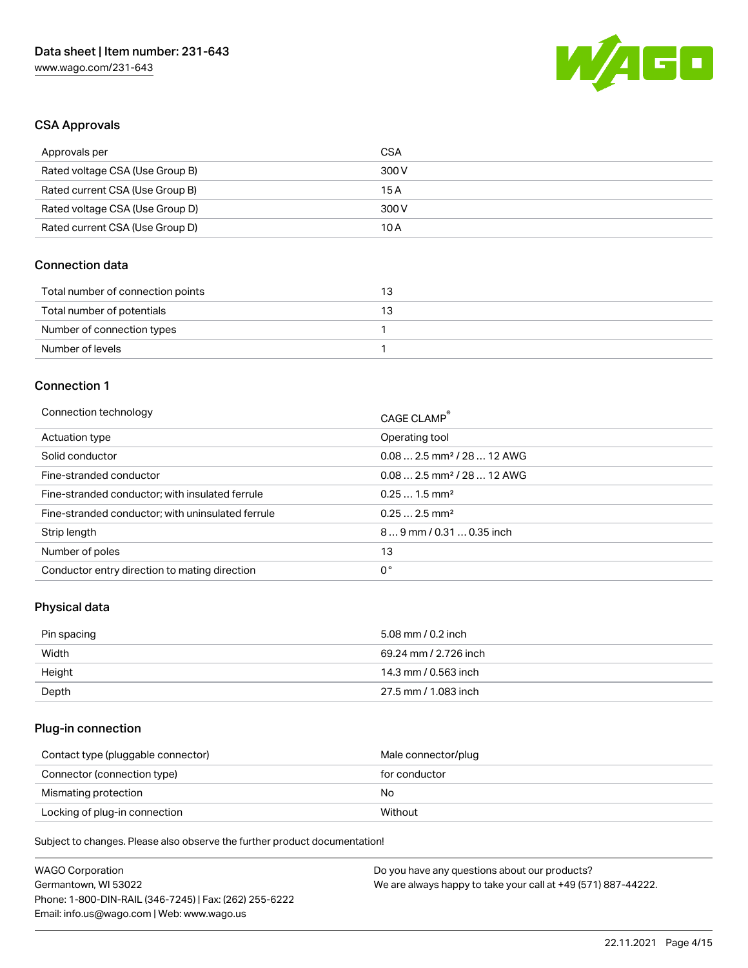

## CSA Approvals

| Approvals per                   | CSA   |
|---------------------------------|-------|
| Rated voltage CSA (Use Group B) | 300 V |
| Rated current CSA (Use Group B) | 15 A  |
| Rated voltage CSA (Use Group D) | 300 V |
| Rated current CSA (Use Group D) | 10 A  |

## Connection data

| Total number of connection points | B  |
|-----------------------------------|----|
| Total number of potentials        | БJ |
| Number of connection types        |    |
| Number of levels                  |    |

### Connection 1

| Connection technology                             | CAGE CLAMP <sup>®</sup>                |
|---------------------------------------------------|----------------------------------------|
| Actuation type                                    | Operating tool                         |
| Solid conductor                                   | $0.082.5$ mm <sup>2</sup> / 28  12 AWG |
| Fine-stranded conductor                           | $0.082.5$ mm <sup>2</sup> / 28  12 AWG |
| Fine-stranded conductor; with insulated ferrule   | $0.251.5$ mm <sup>2</sup>              |
| Fine-stranded conductor; with uninsulated ferrule | $0.252.5$ mm <sup>2</sup>              |
| Strip length                                      | $89$ mm / 0.31  0.35 inch              |
| Number of poles                                   | 13                                     |
| Conductor entry direction to mating direction     | 0°                                     |

## Physical data

| Pin spacing | 5.08 mm / 0.2 inch    |
|-------------|-----------------------|
| Width       | 69.24 mm / 2.726 inch |
| Height      | 14.3 mm / 0.563 inch  |
| Depth       | 27.5 mm / 1.083 inch  |

# Plug-in connection

| Contact type (pluggable connector) | Male connector/plug |
|------------------------------------|---------------------|
| Connector (connection type)        | for conductor       |
| Mismating protection               | No.                 |
| Locking of plug-in connection      | Without             |

Subject to changes. Please also observe the further product documentation!

| <b>WAGO Corporation</b>                                | Do you have any questions about our products?                 |
|--------------------------------------------------------|---------------------------------------------------------------|
| Germantown, WI 53022                                   | We are always happy to take your call at +49 (571) 887-44222. |
| Phone: 1-800-DIN-RAIL (346-7245)   Fax: (262) 255-6222 |                                                               |
| Email: info.us@wago.com   Web: www.wago.us             |                                                               |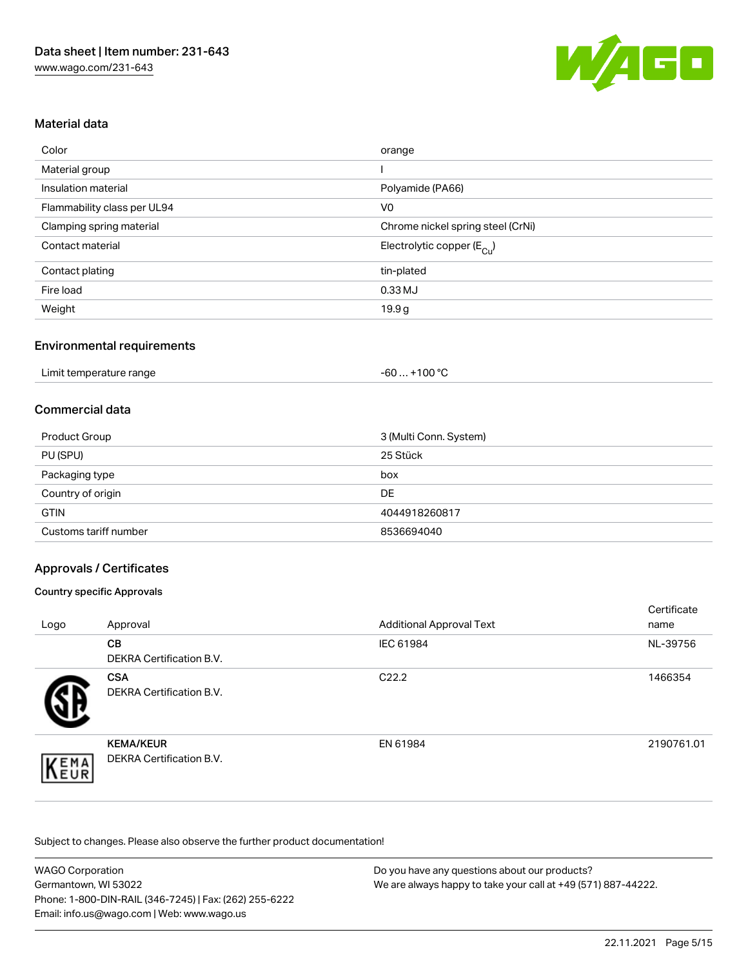

# Material data

| Color                       | orange                                |
|-----------------------------|---------------------------------------|
| Material group              |                                       |
| Insulation material         | Polyamide (PA66)                      |
| Flammability class per UL94 | V <sub>0</sub>                        |
| Clamping spring material    | Chrome nickel spring steel (CrNi)     |
| Contact material            | Electrolytic copper $(E_{\text{Cl}})$ |
| Contact plating             | tin-plated                            |
| Fire load                   | 0.33 MJ                               |
| Weight                      | 19.9 <sub>g</sub>                     |

## Environmental requirements

### Commercial data

| <b>Product Group</b>  | 3 (Multi Conn. System) |
|-----------------------|------------------------|
| PU (SPU)              | 25 Stück               |
| Packaging type        | box                    |
| Country of origin     | <b>DE</b>              |
| <b>GTIN</b>           | 4044918260817          |
| Customs tariff number | 8536694040             |

## Approvals / Certificates

### Country specific Approvals

| Logo | Approval                                            | <b>Additional Approval Text</b> | Certificate<br>name |
|------|-----------------------------------------------------|---------------------------------|---------------------|
|      | <b>CB</b><br><b>DEKRA Certification B.V.</b>        | IEC 61984                       | NL-39756            |
|      | <b>CSA</b><br><b>DEKRA Certification B.V.</b>       | C <sub>22.2</sub>               | 1466354             |
| EMA  | <b>KEMA/KEUR</b><br><b>DEKRA Certification B.V.</b> | EN 61984                        | 2190761.01          |

Subject to changes. Please also observe the further product documentation!

| <b>WAGO Corporation</b>                                | Do you have any questions about our products?                 |
|--------------------------------------------------------|---------------------------------------------------------------|
| Germantown, WI 53022                                   | We are always happy to take your call at +49 (571) 887-44222. |
| Phone: 1-800-DIN-RAIL (346-7245)   Fax: (262) 255-6222 |                                                               |
| Email: info.us@wago.com   Web: www.wago.us             |                                                               |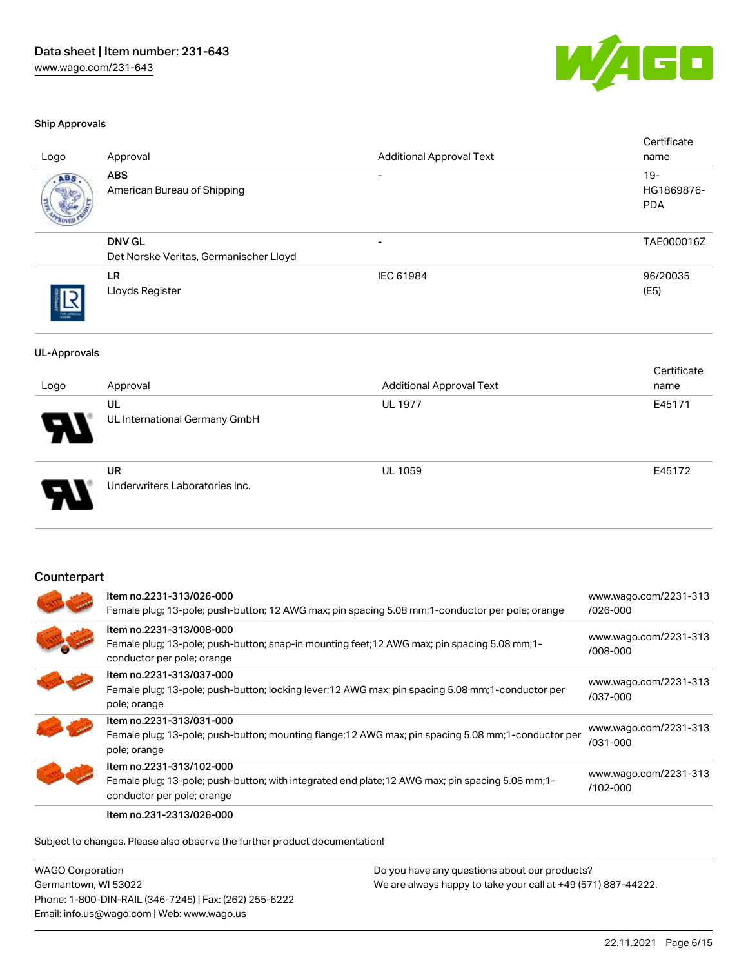

#### Ship Approvals

| Logo                | Approval                                                                                                                                                | <b>Additional Approval Text</b>                                                                 | Certificate<br>name                |
|---------------------|---------------------------------------------------------------------------------------------------------------------------------------------------------|-------------------------------------------------------------------------------------------------|------------------------------------|
|                     | <b>ABS</b><br>American Bureau of Shipping                                                                                                               |                                                                                                 | $19 -$<br>HG1869876-<br><b>PDA</b> |
|                     | <b>DNV GL</b><br>Det Norske Veritas, Germanischer Lloyd                                                                                                 |                                                                                                 | TAE000016Z                         |
|                     | LR.<br>Lloyds Register                                                                                                                                  | IEC 61984                                                                                       | 96/20035<br>(E5)                   |
| <b>UL-Approvals</b> |                                                                                                                                                         |                                                                                                 |                                    |
|                     | Approval                                                                                                                                                | <b>Additional Approval Text</b>                                                                 | Certificate<br>name                |
| Logo                | <b>UL</b>                                                                                                                                               | <b>UL 1977</b>                                                                                  | E45171                             |
|                     | UL International Germany GmbH                                                                                                                           |                                                                                                 |                                    |
|                     | <b>UR</b><br>Underwriters Laboratories Inc.                                                                                                             | <b>UL 1059</b>                                                                                  | E45172                             |
| Counterpart         | Item no.2231-313/026-000                                                                                                                                |                                                                                                 |                                    |
|                     |                                                                                                                                                         | Female plug; 13-pole; push-button; 12 AWG max; pin spacing 5.08 mm;1-conductor per pole; orange | www.wago.com/2231-313<br>/026-000  |
|                     | Item no.2231-313/008-000<br>Female plug; 13-pole; push-button; snap-in mounting feet; 12 AWG max; pin spacing 5.08 mm; 1-<br>conductor per pole; orange |                                                                                                 | www.wago.com/2231-313<br>/008-000  |
|                     |                                                                                                                                                         |                                                                                                 |                                    |

| Item no.2231-313/037-000<br>Female plug; 13-pole; push-button; locking lever; 12 AWG max; pin spacing 5.08 mm; 1-conductor per<br>pole; orange              | www.wago.com/2231-313<br>/037-000 |
|-------------------------------------------------------------------------------------------------------------------------------------------------------------|-----------------------------------|
| Item no.2231-313/031-000<br>Female plug; 13-pole; push-button; mounting flange; 12 AWG max; pin spacing 5.08 mm; 1-conductor per<br>pole; orange            | www.wago.com/2231-313<br>/031-000 |
| Item no.2231-313/102-000<br>Female plug; 13-pole; push-button; with integrated end plate; 12 AWG max; pin spacing 5.08 mm; 1-<br>conductor per pole; orange | www.wago.com/2231-313<br>/102-000 |
|                                                                                                                                                             |                                   |

Item no.231-2313/026-000

Subject to changes. Please also observe the further product documentation!

WAGO Corporation Germantown, WI 53022 Phone: 1-800-DIN-RAIL (346-7245) | Fax: (262) 255-6222 Email: info.us@wago.com | Web: www.wago.us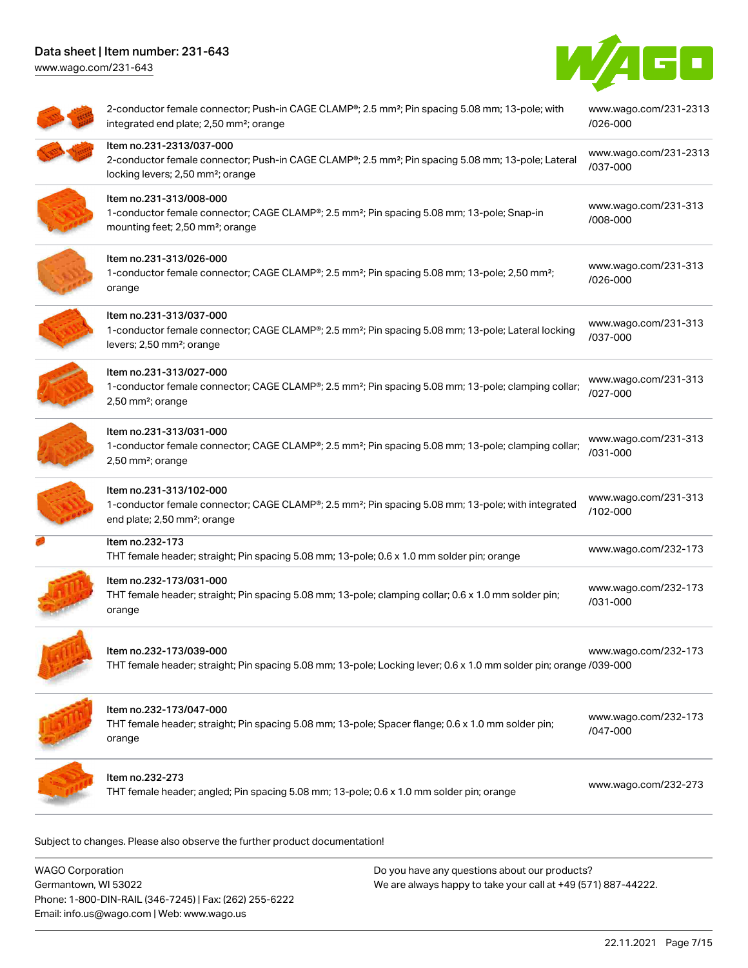# Data sheet | Item number: 231-643

[www.wago.com/231-643](http://www.wago.com/231-643)



| 2-conductor female connector; Push-in CAGE CLAMP®; 2.5 mm <sup>2</sup> ; Pin spacing 5.08 mm; 13-pole; with<br>integrated end plate; 2,50 mm <sup>2</sup> ; orange                          | www.wago.com/231-2313<br>/026-000 |
|---------------------------------------------------------------------------------------------------------------------------------------------------------------------------------------------|-----------------------------------|
| Item no.231-2313/037-000<br>2-conductor female connector; Push-in CAGE CLAMP®; 2.5 mm <sup>2</sup> ; Pin spacing 5.08 mm; 13-pole; Lateral<br>locking levers; 2,50 mm <sup>2</sup> ; orange | www.wago.com/231-2313<br>/037-000 |
| Item no.231-313/008-000<br>1-conductor female connector; CAGE CLAMP®; 2.5 mm <sup>2</sup> ; Pin spacing 5.08 mm; 13-pole; Snap-in<br>mounting feet; 2,50 mm <sup>2</sup> ; orange           | www.wago.com/231-313<br>/008-000  |
| Item no.231-313/026-000<br>1-conductor female connector; CAGE CLAMP®; 2.5 mm <sup>2</sup> ; Pin spacing 5.08 mm; 13-pole; 2,50 mm <sup>2</sup> ;<br>orange                                  | www.wago.com/231-313<br>/026-000  |
| Item no.231-313/037-000<br>1-conductor female connector; CAGE CLAMP®; 2.5 mm <sup>2</sup> ; Pin spacing 5.08 mm; 13-pole; Lateral locking<br>levers; 2,50 mm <sup>2</sup> ; orange          | www.wago.com/231-313<br>/037-000  |
| Item no.231-313/027-000<br>1-conductor female connector; CAGE CLAMP <sup>®</sup> ; 2.5 mm <sup>2</sup> ; Pin spacing 5.08 mm; 13-pole; clamping collar;<br>2,50 mm <sup>2</sup> ; orange    | www.wago.com/231-313<br>/027-000  |
| Item no.231-313/031-000<br>1-conductor female connector; CAGE CLAMP <sup>®</sup> ; 2.5 mm <sup>2</sup> ; Pin spacing 5.08 mm; 13-pole; clamping collar;<br>2,50 mm <sup>2</sup> ; orange    | www.wago.com/231-313<br>/031-000  |
| Item no.231-313/102-000<br>1-conductor female connector; CAGE CLAMP®; 2.5 mm <sup>2</sup> ; Pin spacing 5.08 mm; 13-pole; with integrated<br>end plate; 2,50 mm <sup>2</sup> ; orange       | www.wago.com/231-313<br>/102-000  |
| Item no.232-173<br>THT female header; straight; Pin spacing 5.08 mm; 13-pole; 0.6 x 1.0 mm solder pin; orange                                                                               | www.wago.com/232-173              |
| Item no.232-173/031-000<br>THT female header; straight; Pin spacing 5.08 mm; 13-pole; clamping collar; 0.6 x 1.0 mm solder pin;<br>orange                                                   | www.wago.com/232-173<br>/031-000  |
| ltem no.232-173/039-000<br>THT female header; straight; Pin spacing 5.08 mm; 13-pole; Locking lever; 0.6 x 1.0 mm solder pin; orange /039-000                                               | www.wago.com/232-173              |
| Item no.232-173/047-000<br>THT female header; straight; Pin spacing 5.08 mm; 13-pole; Spacer flange; 0.6 x 1.0 mm solder pin;<br>orange                                                     | www.wago.com/232-173<br>/047-000  |
| Item no.232-273<br>THT female header; angled; Pin spacing 5.08 mm; 13-pole; 0.6 x 1.0 mm solder pin; orange                                                                                 | www.wago.com/232-273              |

WAGO Corporation Germantown, WI 53022 Phone: 1-800-DIN-RAIL (346-7245) | Fax: (262) 255-6222 Email: info.us@wago.com | Web: www.wago.us Do you have any questions about our products? We are always happy to take your call at +49 (571) 887-44222.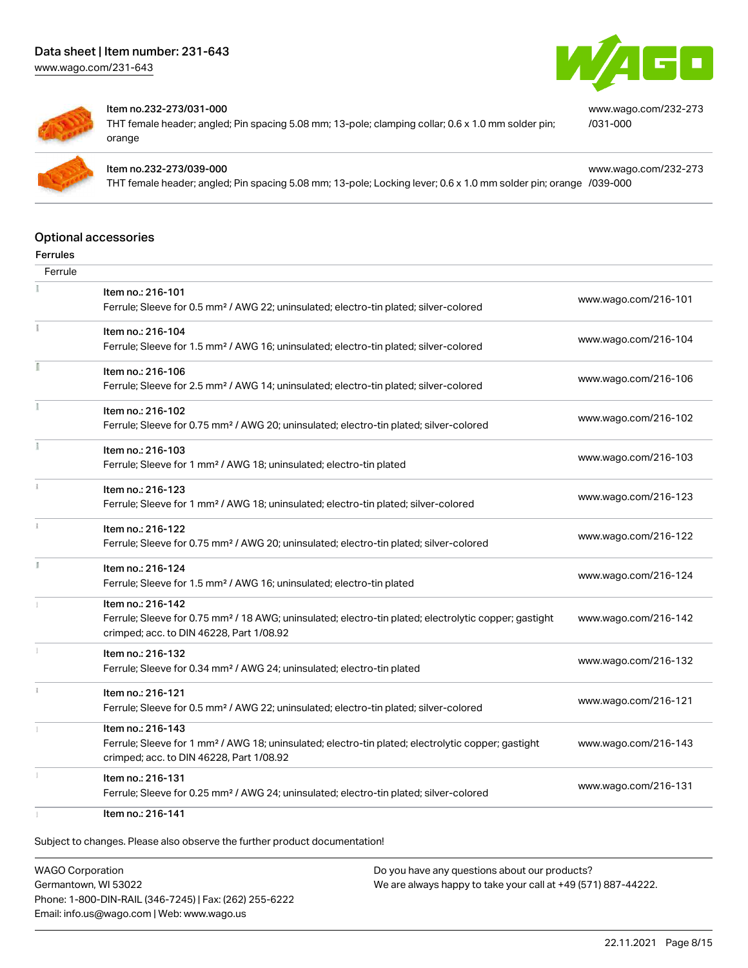[www.wago.com/231-643](http://www.wago.com/231-643)



[/031-000](https://www.wago.com/232-273/031-000)

[www.wago.com/232-273](https://www.wago.com/232-273/031-000)

[www.wago.com/232-273](https://www.wago.com/232-273/039-000)



#### Item no.232-273/031-000

THT female header; angled; Pin spacing 5.08 mm; 13-pole; clamping collar; 0.6 x 1.0 mm solder pin; orange



#### Item no.232-273/039-000

THT female header; angled; Pin spacing 5.08 mm; 13-pole; Locking lever; 0.6 x 1.0 mm solder pin; orange [/039-000](https://www.wago.com/232-273/039-000)

#### Optional accessories

| Ferrules |                                                                                                                                                                                    |                      |
|----------|------------------------------------------------------------------------------------------------------------------------------------------------------------------------------------|----------------------|
| Ferrule  |                                                                                                                                                                                    |                      |
|          | Item no.: 216-101<br>Ferrule; Sleeve for 0.5 mm <sup>2</sup> / AWG 22; uninsulated; electro-tin plated; silver-colored                                                             | www.wago.com/216-101 |
|          | Item no.: 216-104<br>Ferrule; Sleeve for 1.5 mm <sup>2</sup> / AWG 16; uninsulated; electro-tin plated; silver-colored                                                             | www.wago.com/216-104 |
|          | Item no.: 216-106<br>Ferrule; Sleeve for 2.5 mm <sup>2</sup> / AWG 14; uninsulated; electro-tin plated; silver-colored                                                             | www.wago.com/216-106 |
|          | Item no.: 216-102<br>Ferrule; Sleeve for 0.75 mm <sup>2</sup> / AWG 20; uninsulated; electro-tin plated; silver-colored                                                            | www.wago.com/216-102 |
|          | Item no.: 216-103<br>Ferrule; Sleeve for 1 mm <sup>2</sup> / AWG 18; uninsulated; electro-tin plated                                                                               | www.wago.com/216-103 |
|          | Item no.: 216-123<br>Ferrule; Sleeve for 1 mm <sup>2</sup> / AWG 18; uninsulated; electro-tin plated; silver-colored                                                               | www.wago.com/216-123 |
|          | Item no.: 216-122<br>Ferrule; Sleeve for 0.75 mm <sup>2</sup> / AWG 20; uninsulated; electro-tin plated; silver-colored                                                            | www.wago.com/216-122 |
|          | Item no.: 216-124<br>Ferrule; Sleeve for 1.5 mm <sup>2</sup> / AWG 16; uninsulated; electro-tin plated                                                                             | www.wago.com/216-124 |
|          | Item no.: 216-142<br>Ferrule; Sleeve for 0.75 mm <sup>2</sup> / 18 AWG; uninsulated; electro-tin plated; electrolytic copper; gastight<br>crimped; acc. to DIN 46228, Part 1/08.92 | www.wago.com/216-142 |
|          | Item no.: 216-132<br>Ferrule; Sleeve for 0.34 mm <sup>2</sup> / AWG 24; uninsulated; electro-tin plated                                                                            | www.wago.com/216-132 |
|          | Item no.: 216-121<br>Ferrule; Sleeve for 0.5 mm <sup>2</sup> / AWG 22; uninsulated; electro-tin plated; silver-colored                                                             | www.wago.com/216-121 |
|          | Item no.: 216-143<br>Ferrule; Sleeve for 1 mm <sup>2</sup> / AWG 18; uninsulated; electro-tin plated; electrolytic copper; gastight<br>crimped; acc. to DIN 46228, Part 1/08.92    | www.wago.com/216-143 |
|          | Item no.: 216-131<br>Ferrule; Sleeve for 0.25 mm <sup>2</sup> / AWG 24; uninsulated; electro-tin plated; silver-colored                                                            | www.wago.com/216-131 |
|          | Item no.: 216-141                                                                                                                                                                  |                      |

Subject to changes. Please also observe the further product documentation!

WAGO Corporation Germantown, WI 53022 Phone: 1-800-DIN-RAIL (346-7245) | Fax: (262) 255-6222 Email: info.us@wago.com | Web: www.wago.us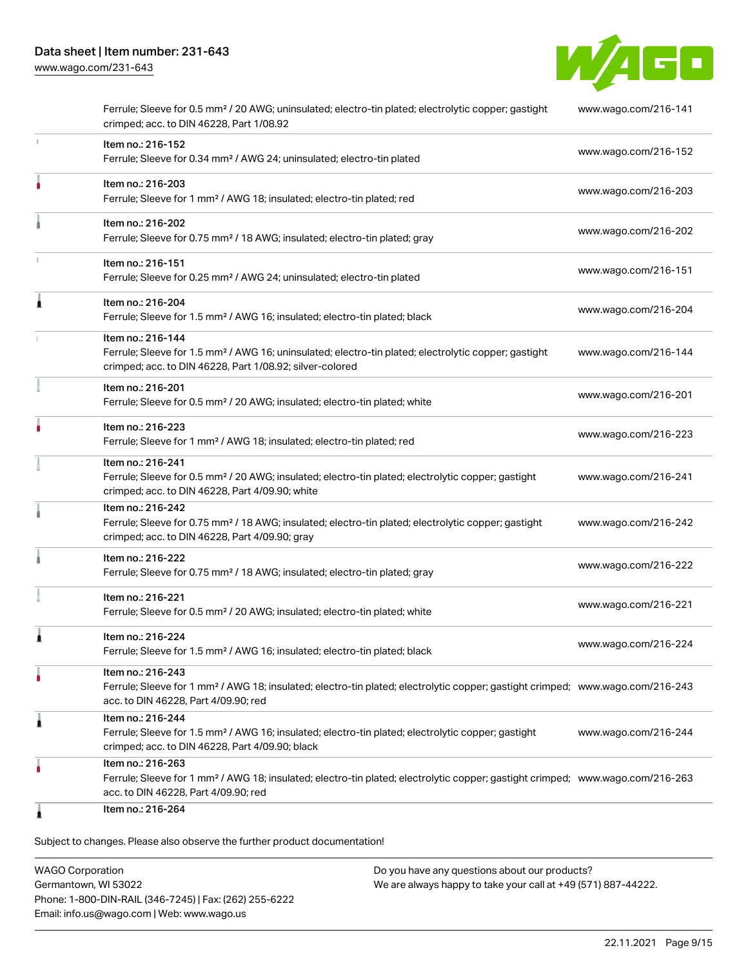

|    | Ferrule; Sleeve for 0.5 mm <sup>2</sup> / 20 AWG; uninsulated; electro-tin plated; electrolytic copper; gastight<br>crimped; acc. to DIN 46228, Part 1/08.92                                            | www.wago.com/216-141 |
|----|---------------------------------------------------------------------------------------------------------------------------------------------------------------------------------------------------------|----------------------|
| ı. | Item no.: 216-152<br>Ferrule; Sleeve for 0.34 mm <sup>2</sup> / AWG 24; uninsulated; electro-tin plated                                                                                                 | www.wago.com/216-152 |
| ۸  | Item no.: 216-203<br>Ferrule; Sleeve for 1 mm <sup>2</sup> / AWG 18; insulated; electro-tin plated; red                                                                                                 | www.wago.com/216-203 |
|    | Item no.: 216-202<br>Ferrule; Sleeve for 0.75 mm <sup>2</sup> / 18 AWG; insulated; electro-tin plated; gray                                                                                             | www.wago.com/216-202 |
| ı  | Item no.: 216-151<br>Ferrule; Sleeve for 0.25 mm <sup>2</sup> / AWG 24; uninsulated; electro-tin plated                                                                                                 | www.wago.com/216-151 |
| Â  | Item no.: 216-204<br>Ferrule; Sleeve for 1.5 mm <sup>2</sup> / AWG 16; insulated; electro-tin plated; black                                                                                             | www.wago.com/216-204 |
|    | Item no.: 216-144<br>Ferrule; Sleeve for 1.5 mm <sup>2</sup> / AWG 16; uninsulated; electro-tin plated; electrolytic copper; gastight<br>crimped; acc. to DIN 46228, Part 1/08.92; silver-colored       | www.wago.com/216-144 |
|    | Item no.: 216-201<br>Ferrule; Sleeve for 0.5 mm <sup>2</sup> / 20 AWG; insulated; electro-tin plated; white                                                                                             | www.wago.com/216-201 |
|    | Item no.: 216-223<br>Ferrule; Sleeve for 1 mm <sup>2</sup> / AWG 18; insulated; electro-tin plated; red                                                                                                 | www.wago.com/216-223 |
|    | Item no.: 216-241<br>Ferrule; Sleeve for 0.5 mm <sup>2</sup> / 20 AWG; insulated; electro-tin plated; electrolytic copper; gastight<br>crimped; acc. to DIN 46228, Part 4/09.90; white                  | www.wago.com/216-241 |
|    | Item no.: 216-242<br>Ferrule; Sleeve for 0.75 mm <sup>2</sup> / 18 AWG; insulated; electro-tin plated; electrolytic copper; gastight<br>crimped; acc. to DIN 46228, Part 4/09.90; gray                  | www.wago.com/216-242 |
|    | Item no.: 216-222<br>Ferrule; Sleeve for 0.75 mm <sup>2</sup> / 18 AWG; insulated; electro-tin plated; gray                                                                                             | www.wago.com/216-222 |
|    | Item no.: 216-221<br>Ferrule; Sleeve for 0.5 mm <sup>2</sup> / 20 AWG; insulated; electro-tin plated; white                                                                                             | www.wago.com/216-221 |
| 1  | Item no.: 216-224<br>Ferrule; Sleeve for 1.5 mm <sup>2</sup> / AWG 16; insulated; electro-tin plated; black                                                                                             | www.wago.com/216-224 |
|    | Item no.: 216-243<br>Ferrule; Sleeve for 1 mm <sup>2</sup> / AWG 18; insulated; electro-tin plated; electrolytic copper; gastight crimped; www.wago.com/216-243<br>acc. to DIN 46228, Part 4/09.90; red |                      |
| Â  | Item no.: 216-244<br>Ferrule; Sleeve for 1.5 mm <sup>2</sup> / AWG 16; insulated; electro-tin plated; electrolytic copper; gastight<br>crimped; acc. to DIN 46228, Part 4/09.90; black                  | www.wago.com/216-244 |
|    | Item no.: 216-263<br>Ferrule; Sleeve for 1 mm <sup>2</sup> / AWG 18; insulated; electro-tin plated; electrolytic copper; gastight crimped; www.wago.com/216-263<br>acc. to DIN 46228, Part 4/09.90; red |                      |
|    | Item no.: 216-264                                                                                                                                                                                       |                      |

Subject to changes. Please also observe the further product documentation!

WAGO Corporation Germantown, WI 53022 Phone: 1-800-DIN-RAIL (346-7245) | Fax: (262) 255-6222 Email: info.us@wago.com | Web: www.wago.us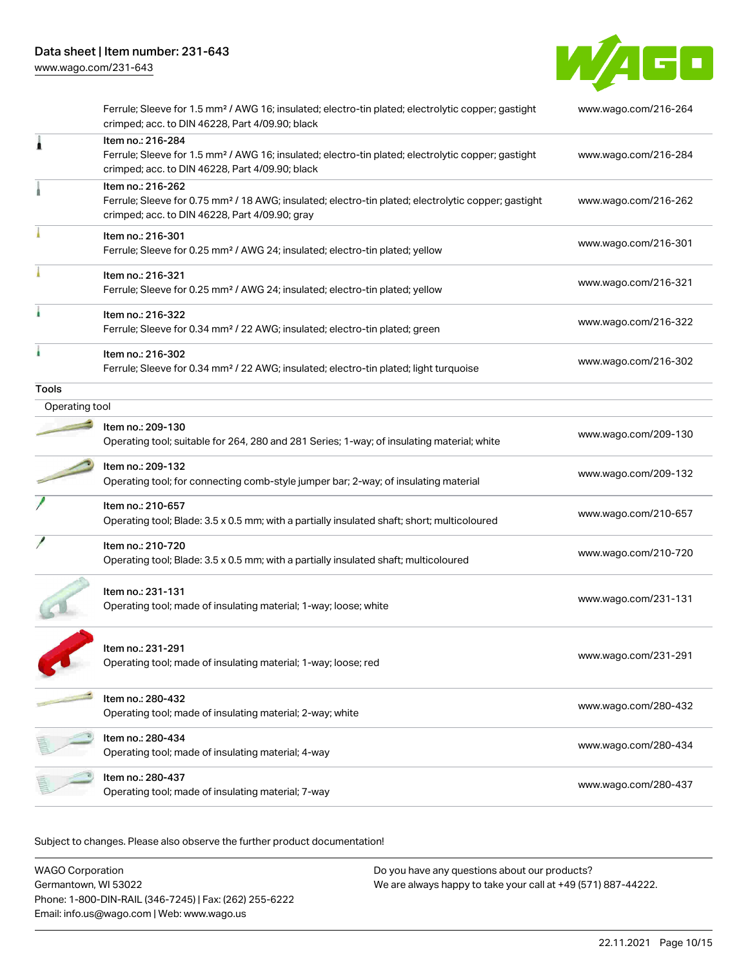[www.wago.com/231-643](http://www.wago.com/231-643)



|                | Ferrule; Sleeve for 1.5 mm <sup>2</sup> / AWG 16; insulated; electro-tin plated; electrolytic copper; gastight<br>crimped; acc. to DIN 46228, Part 4/09.90; black                      | www.wago.com/216-264 |
|----------------|----------------------------------------------------------------------------------------------------------------------------------------------------------------------------------------|----------------------|
| 1              | Item no.: 216-284<br>Ferrule; Sleeve for 1.5 mm <sup>2</sup> / AWG 16; insulated; electro-tin plated; electrolytic copper; gastight<br>crimped; acc. to DIN 46228, Part 4/09.90; black | www.wago.com/216-284 |
|                | Item no.: 216-262<br>Ferrule; Sleeve for 0.75 mm <sup>2</sup> / 18 AWG; insulated; electro-tin plated; electrolytic copper; gastight<br>crimped; acc. to DIN 46228, Part 4/09.90; gray | www.wago.com/216-262 |
|                | Item no.: 216-301<br>Ferrule; Sleeve for 0.25 mm <sup>2</sup> / AWG 24; insulated; electro-tin plated; yellow                                                                          | www.wago.com/216-301 |
|                | Item no.: 216-321<br>Ferrule; Sleeve for 0.25 mm <sup>2</sup> / AWG 24; insulated; electro-tin plated; yellow                                                                          | www.wago.com/216-321 |
|                | Item no.: 216-322<br>Ferrule; Sleeve for 0.34 mm <sup>2</sup> / 22 AWG; insulated; electro-tin plated; green                                                                           | www.wago.com/216-322 |
|                | Item no.: 216-302<br>Ferrule; Sleeve for 0.34 mm <sup>2</sup> / 22 AWG; insulated; electro-tin plated; light turquoise                                                                 | www.wago.com/216-302 |
| Tools          |                                                                                                                                                                                        |                      |
| Operating tool |                                                                                                                                                                                        |                      |
|                | Item no.: 209-130<br>Operating tool; suitable for 264, 280 and 281 Series; 1-way; of insulating material; white                                                                        | www.wago.com/209-130 |
|                | Item no.: 209-132<br>Operating tool; for connecting comb-style jumper bar; 2-way; of insulating material                                                                               | www.wago.com/209-132 |
|                | Item no.: 210-657<br>Operating tool; Blade: 3.5 x 0.5 mm; with a partially insulated shaft; short; multicoloured                                                                       | www.wago.com/210-657 |
|                | Item no.: 210-720<br>Operating tool; Blade: 3.5 x 0.5 mm; with a partially insulated shaft; multicoloured                                                                              | www.wago.com/210-720 |
|                | Item no.: 231-131<br>Operating tool; made of insulating material; 1-way; loose; white                                                                                                  | www.wago.com/231-131 |
|                | Item no.: 231-291<br>Operating tool; made of insulating material; 1-way; loose; red                                                                                                    | www.wago.com/231-291 |
|                | Item no.: 280-432<br>Operating tool; made of insulating material; 2-way; white                                                                                                         | www.wago.com/280-432 |
|                | Item no.: 280-434<br>Operating tool; made of insulating material; 4-way                                                                                                                | www.wago.com/280-434 |
|                | Item no.: 280-437<br>Operating tool; made of insulating material; 7-way                                                                                                                | www.wago.com/280-437 |
|                |                                                                                                                                                                                        |                      |

Subject to changes. Please also observe the further product documentation!

WAGO Corporation Germantown, WI 53022 Phone: 1-800-DIN-RAIL (346-7245) | Fax: (262) 255-6222 Email: info.us@wago.com | Web: www.wago.us Do you have any questions about our products? We are always happy to take your call at +49 (571) 887-44222.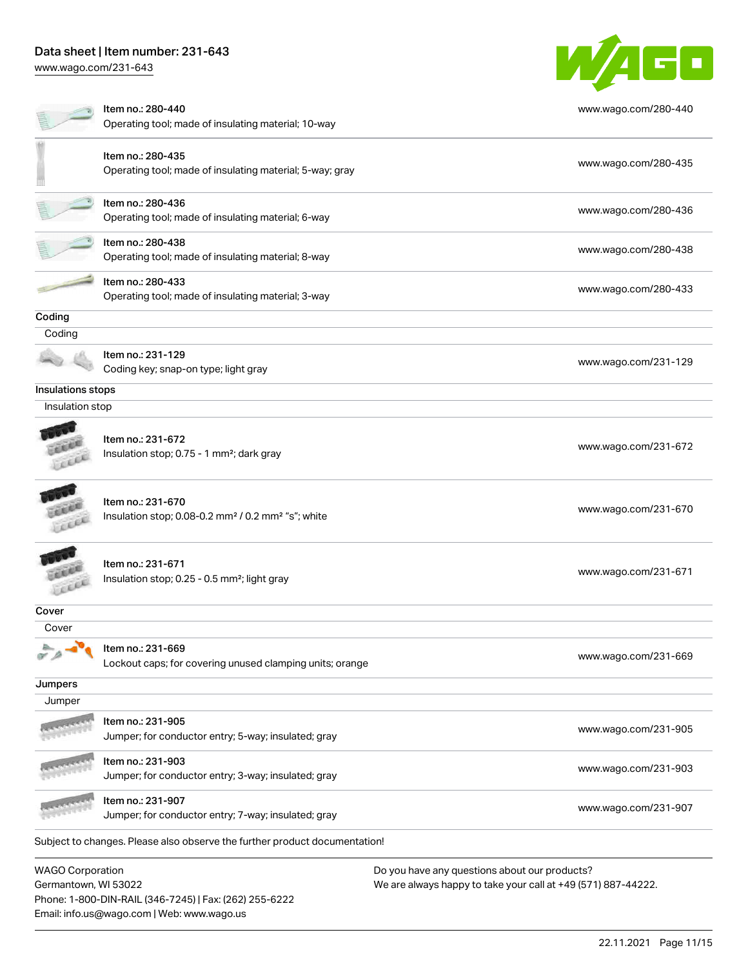# Data sheet | Item number: 231-643

[www.wago.com/231-643](http://www.wago.com/231-643)



Germantown, WI 53022 Phone: 1-800-DIN-RAIL (346-7245) | Fax: (262) 255-6222 Email: info.us@wago.com | Web: www.wago.us

We are always happy to take your call at +49 (571) 887-44222.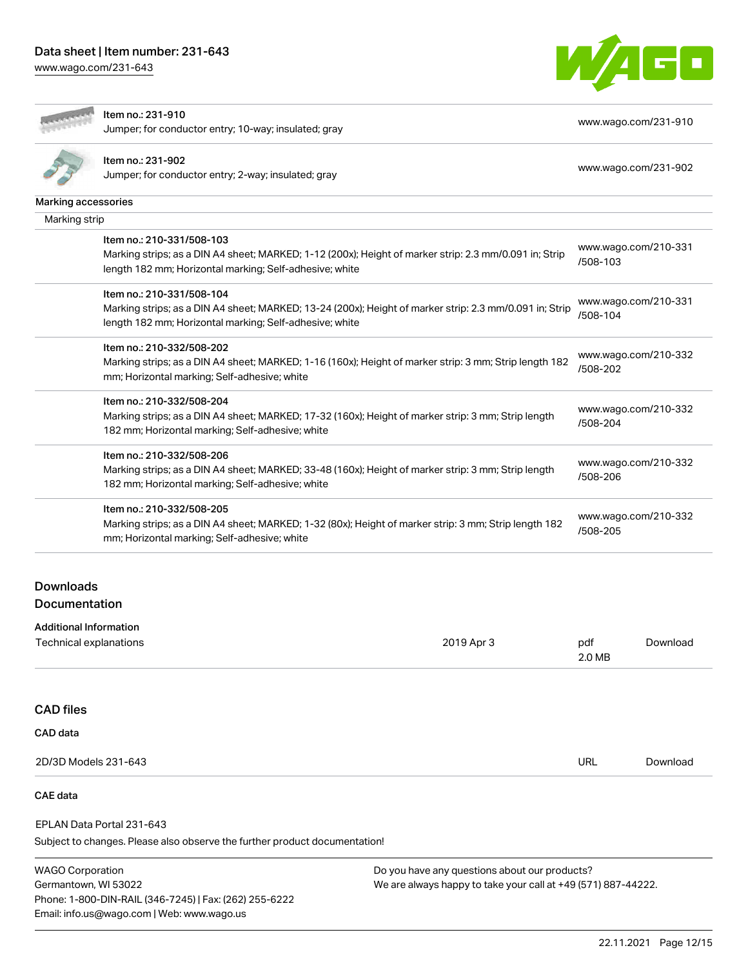# Data sheet | Item number: 231-643

[www.wago.com/231-643](http://www.wago.com/231-643)



# Item no.: 231-910

Jumper; for conductor entry; 10-way; insulated; gray [www.wago.com/231-910](http://www.wago.com/231-910)

| i.<br>г |
|---------|
|         |

## Item no.: 231-902

Jumper; for conductor entry; 2-way; insulated; gray [www.wago.com/231-902](http://www.wago.com/231-902)

| Marking accessories           |                                                                                                         |  |                                  |                      |  |
|-------------------------------|---------------------------------------------------------------------------------------------------------|--|----------------------------------|----------------------|--|
| Marking strip                 |                                                                                                         |  |                                  |                      |  |
|                               | Item no.: 210-331/508-103                                                                               |  |                                  | www.wago.com/210-331 |  |
|                               | Marking strips; as a DIN A4 sheet; MARKED; 1-12 (200x); Height of marker strip: 2.3 mm/0.091 in; Strip  |  | /508-103                         |                      |  |
|                               | length 182 mm; Horizontal marking; Self-adhesive; white                                                 |  |                                  |                      |  |
|                               | Item no.: 210-331/508-104                                                                               |  |                                  |                      |  |
|                               | Marking strips; as a DIN A4 sheet; MARKED; 13-24 (200x); Height of marker strip: 2.3 mm/0.091 in; Strip |  | www.wago.com/210-331<br>/508-104 |                      |  |
|                               | length 182 mm; Horizontal marking; Self-adhesive; white                                                 |  |                                  |                      |  |
|                               | Item no.: 210-332/508-202                                                                               |  |                                  |                      |  |
|                               | Marking strips; as a DIN A4 sheet; MARKED; 1-16 (160x); Height of marker strip: 3 mm; Strip length 182  |  | www.wago.com/210-332             |                      |  |
|                               | mm; Horizontal marking; Self-adhesive; white                                                            |  |                                  | /508-202             |  |
|                               | Item no.: 210-332/508-204                                                                               |  |                                  |                      |  |
|                               | Marking strips; as a DIN A4 sheet; MARKED; 17-32 (160x); Height of marker strip: 3 mm; Strip length     |  | www.wago.com/210-332             |                      |  |
|                               | 182 mm; Horizontal marking; Self-adhesive; white                                                        |  | /508-204                         |                      |  |
|                               | Item no.: 210-332/508-206                                                                               |  |                                  |                      |  |
|                               | Marking strips; as a DIN A4 sheet; MARKED; 33-48 (160x); Height of marker strip: 3 mm; Strip length     |  | www.wago.com/210-332<br>/508-206 |                      |  |
|                               | 182 mm; Horizontal marking; Self-adhesive; white                                                        |  |                                  |                      |  |
|                               | Item no.: 210-332/508-205                                                                               |  |                                  |                      |  |
|                               | Marking strips; as a DIN A4 sheet; MARKED; 1-32 (80x); Height of marker strip: 3 mm; Strip length 182   |  | www.wago.com/210-332<br>/508-205 |                      |  |
|                               | mm; Horizontal marking; Self-adhesive; white                                                            |  |                                  |                      |  |
|                               |                                                                                                         |  |                                  |                      |  |
| Downloads                     |                                                                                                         |  |                                  |                      |  |
| Documentation                 |                                                                                                         |  |                                  |                      |  |
| <b>Additional Information</b> |                                                                                                         |  |                                  |                      |  |
|                               | <b>Technical explanations</b><br>2019 Apr 3<br>pdf                                                      |  | Download                         |                      |  |
|                               |                                                                                                         |  | 2.0 MB                           |                      |  |

## CAD files

#### CAD data

| 2D/3D Models 231-643 | URL<br>$\sim$ $\sim$ | Download |
|----------------------|----------------------|----------|

# CAE data

EPLAN Data Portal 231-643

Subject to changes. Please also observe the further product documentation!

WAGO Corporation Germantown, WI 53022 Phone: 1-800-DIN-RAIL (346-7245) | Fax: (262) 255-6222 Email: info.us@wago.com | Web: www.wago.us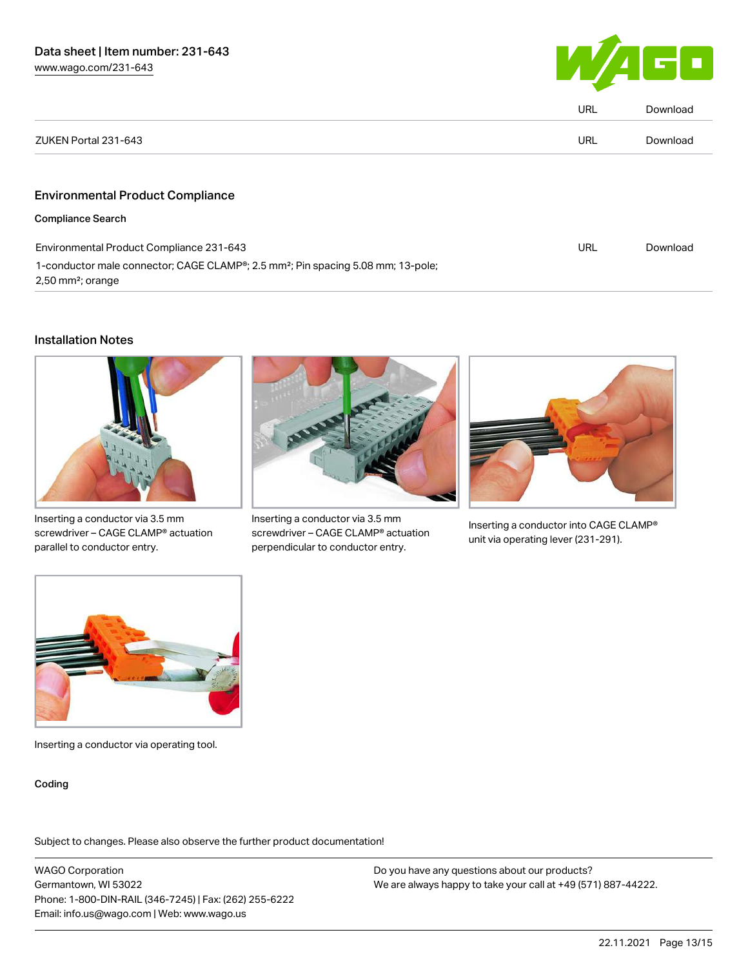

|                                                                                                                                 | <b>URL</b> | Download |
|---------------------------------------------------------------------------------------------------------------------------------|------------|----------|
| ZUKEN Portal 231-643                                                                                                            | <b>URL</b> | Download |
|                                                                                                                                 |            |          |
| <b>Environmental Product Compliance</b>                                                                                         |            |          |
| <b>Compliance Search</b>                                                                                                        |            |          |
| Environmental Product Compliance 231-643                                                                                        |            | Download |
| 1-conductor male connector; CAGE CLAMP®; 2.5 mm <sup>2</sup> ; Pin spacing 5.08 mm; 13-pole;<br>$2,50$ mm <sup>2</sup> ; orange |            |          |

### Installation Notes



Inserting a conductor via 3.5 mm screwdriver – CAGE CLAMP® actuation parallel to conductor entry.



Inserting a conductor via 3.5 mm screwdriver – CAGE CLAMP® actuation perpendicular to conductor entry.



Inserting a conductor into CAGE CLAMP® unit via operating lever (231-291).



Inserting a conductor via operating tool.

#### Coding

Subject to changes. Please also observe the further product documentation!

WAGO Corporation Germantown, WI 53022 Phone: 1-800-DIN-RAIL (346-7245) | Fax: (262) 255-6222 Email: info.us@wago.com | Web: www.wago.us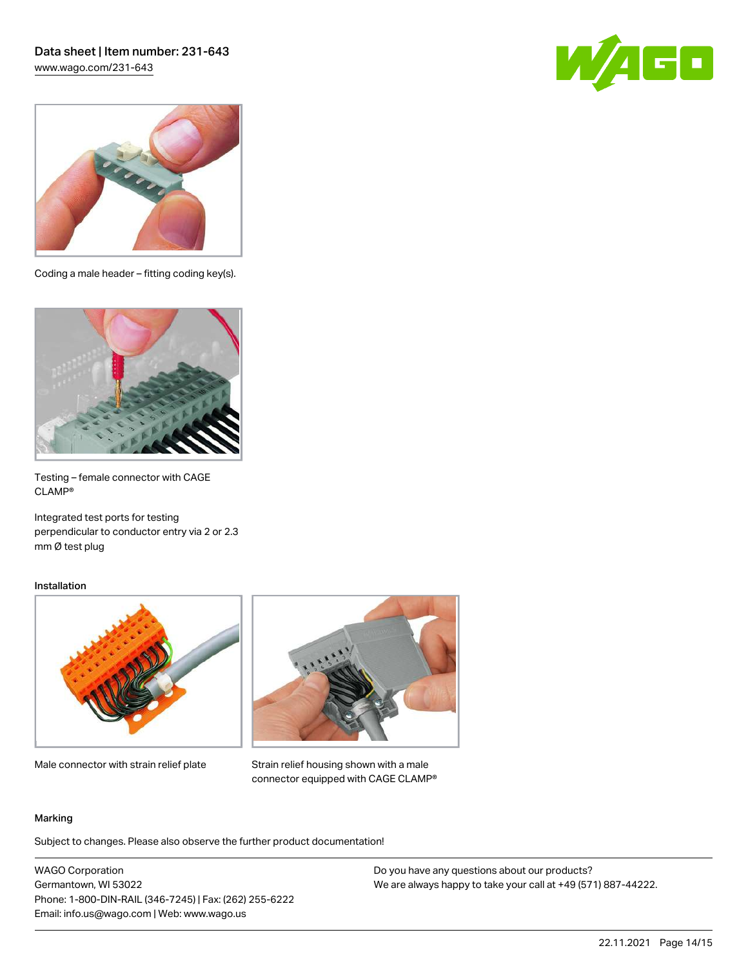# Data sheet | Item number: 231-643 [www.wago.com/231-643](http://www.wago.com/231-643)





Coding a male header – fitting coding key(s).



Testing – female connector with CAGE CLAMP®

Integrated test ports for testing perpendicular to conductor entry via 2 or 2.3 mm Ø test plug

#### Installation



Male connector with strain relief plate



Strain relief housing shown with a male connector equipped with CAGE CLAMP®

#### Marking

Subject to changes. Please also observe the further product documentation!

WAGO Corporation Germantown, WI 53022 Phone: 1-800-DIN-RAIL (346-7245) | Fax: (262) 255-6222 Email: info.us@wago.com | Web: www.wago.us